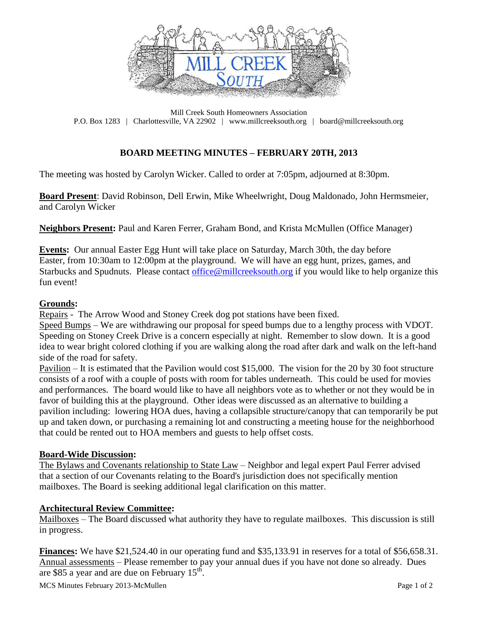

Mill Creek South Homeowners Association P.O. Box 1283 | Charlottesville, VA 22902 | www.millcreeksouth.org | board@millcreeksouth.org

# **BOARD MEETING MINUTES – FEBRUARY 20TH, 2013**

The meeting was hosted by Carolyn Wicker. Called to order at 7:05pm, adjourned at 8:30pm.

**Board Present**: David Robinson, Dell Erwin, Mike Wheelwright, Doug Maldonado, John Hermsmeier, and Carolyn Wicker

**Neighbors Present:** Paul and Karen Ferrer, Graham Bond, and Krista McMullen (Office Manager)

**Events:** Our annual Easter Egg Hunt will take place on Saturday, March 30th, the day before Easter, from 10:30am to 12:00pm at the playground. We will have an egg hunt, prizes, games, and Starbucks and Spudnuts. Please contact [office@millcreeksouth.org](mailto:office@millcreeksouth.org) if you would like to help organize this fun event!

### **Grounds:**

Repairs - The Arrow Wood and Stoney Creek dog pot stations have been fixed.

Speed Bumps – We are withdrawing our proposal for speed bumps due to a lengthy process with VDOT. Speeding on Stoney Creek Drive is a concern especially at night. Remember to slow down. It is a good idea to wear bright colored clothing if you are walking along the road after dark and walk on the left-hand side of the road for safety.

Pavilion – It is estimated that the Pavilion would cost \$15,000. The vision for the 20 by 30 foot structure consists of a roof with a couple of posts with room for tables underneath. This could be used for movies and performances. The board would like to have all neighbors vote as to whether or not they would be in favor of building this at the playground. Other ideas were discussed as an alternative to building a pavilion including: lowering HOA dues, having a collapsible structure/canopy that can temporarily be put up and taken down, or purchasing a remaining lot and constructing a meeting house for the neighborhood that could be rented out to HOA members and guests to help offset costs.

#### **Board-Wide Discussion:**

The Bylaws and Covenants relationship to State Law – Neighbor and legal expert Paul Ferrer advised that a section of our Covenants relating to the Board's jurisdiction does not specifically mention mailboxes. The Board is seeking additional legal clarification on this matter.

### **Architectural Review Committee:**

Mailboxes – The Board discussed what authority they have to regulate mailboxes. This discussion is still in progress.

**Finances:** We have \$21,524.40 in our operating fund and \$35,133.91 in reserves for a total of \$56,658.31. Annual assessments – Please remember to pay your annual dues if you have not done so already. Dues are \$85 a year and are due on February  $15^{th}$ .